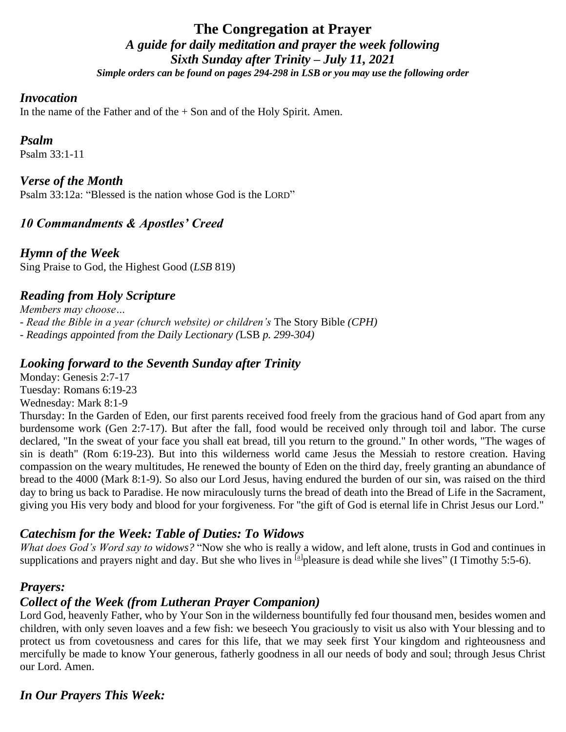# **The Congregation at Prayer** *A guide for daily meditation and prayer the week following Sixth Sunday after Trinity – July 11, 2021 Simple orders can be found on pages 294-298 in LSB or you may use the following order*

#### *Invocation*

In the name of the Father and of the  $+$  Son and of the Holy Spirit. Amen.

#### *Psalm*

Psalm 33:1-11

#### *Verse of the Month*

Psalm 33:12a: "Blessed is the nation whose God is the LORD"

# *10 Commandments & Apostles' Creed*

*Hymn of the Week* Sing Praise to God, the Highest Good (*LSB* 819)

# *Reading from Holy Scripture*

*Members may choose… - Read the Bible in a year (church website) or children's* The Story Bible *(CPH) - Readings appointed from the Daily Lectionary (*LSB *p. 299-304)*

#### *Looking forward to the Seventh Sunday after Trinity*

Monday: Genesis 2:7-17 Tuesday: Romans 6:19-23 Wednesday: Mark 8:1-9

Thursday: In the Garden of Eden, our first parents received food freely from the gracious hand of God apart from any burdensome work (Gen 2:7-17). But after the fall, food would be received only through toil and labor. The curse declared, "In the sweat of your face you shall eat bread, till you return to the ground." In other words, "The wages of sin is death" (Rom 6:19-23). But into this wilderness world came Jesus the Messiah to restore creation. Having compassion on the weary multitudes, He renewed the bounty of Eden on the third day, freely granting an abundance of bread to the 4000 (Mark 8:1-9). So also our Lord Jesus, having endured the burden of our sin, was raised on the third day to bring us back to Paradise. He now miraculously turns the bread of death into the Bread of Life in the Sacrament, giving you His very body and blood for your forgiveness. For "the gift of God is eternal life in Christ Jesus our Lord."

# *Catechism for the Week: Table of Duties: To Widows*

*What does God's Word say to widows?* "Now she who is really a widow, and left alone, trusts in God and continues in supplications and prayers night and day. But she who lives in <sup>[\[a\]](https://www.biblegateway.com/passage/?search=I+Timothy+5%3A5-6&version=NKJV#fen-NKJV-29770a)</sup>pleasure is dead while she lives" (I Timothy 5:5-6).

#### *Prayers:*

# *Collect of the Week (from Lutheran Prayer Companion)*

Lord God, heavenly Father, who by Your Son in the wilderness bountifully fed four thousand men, besides women and children, with only seven loaves and a few fish: we beseech You graciously to visit us also with Your blessing and to protect us from covetousness and cares for this life, that we may seek first Your kingdom and righteousness and mercifully be made to know Your generous, fatherly goodness in all our needs of body and soul; through Jesus Christ our Lord. Amen.

# *In Our Prayers This Week:*